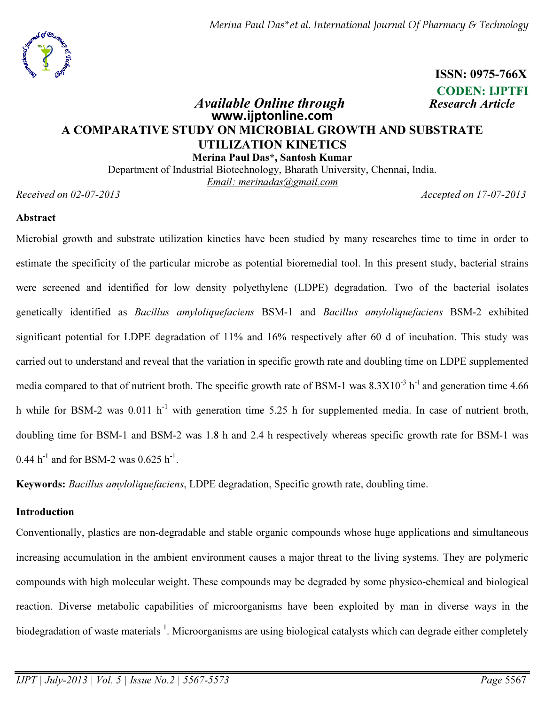Merina Paul Das\*et al. International Journal Of Pharmacy & Technology



 ISSN: 0975-766X CODEN: IJPTFI

# Available Online through Research Article www.ijptonline.com A COMPARATIVE STUDY ON MICROBIAL GROWTH AND SUBSTRATE UTILIZATION KINETICS Merina Paul Das\*, Santosh Kumar

Department of Industrial Biotechnology, Bharath University, Chennai, India. *Email: merinadas@gmail.com*

*Received on 02-07-2013 Accepted on 17-07-2013*

## Abstract

Microbial growth and substrate utilization kinetics have been studied by many researches time to time in order to estimate the specificity of the particular microbe as potential bioremedial tool. In this present study, bacterial strains were screened and identified for low density polyethylene (LDPE) degradation. Two of the bacterial isolates genetically identified as *Bacillus amyloliquefaciens* BSM-1 and *Bacillus amyloliquefaciens* BSM-2 exhibited significant potential for LDPE degradation of 11% and 16% respectively after 60 d of incubation. This study was carried out to understand and reveal that the variation in specific growth rate and doubling time on LDPE supplemented media compared to that of nutrient broth. The specific growth rate of BSM-1 was  $8.3X10^{-3}$  h<sup>-1</sup> and generation time 4.66 h while for BSM-2 was  $0.011 \text{ h}^{-1}$  with generation time 5.25 h for supplemented media. In case of nutrient broth, doubling time for BSM-1 and BSM-2 was 1.8 h and 2.4 h respectively whereas specific growth rate for BSM-1 was 0.44  $h^{-1}$  and for BSM-2 was 0.625  $h^{-1}$ .

Keywords: *Bacillus amyloliquefaciens*, LDPE degradation, Specific growth rate, doubling time.

## Introduction

Conventionally, plastics are non-degradable and stable organic compounds whose huge applications and simultaneous increasing accumulation in the ambient environment causes a major threat to the living systems. They are polymeric compounds with high molecular weight. These compounds may be degraded by some physico-chemical and biological reaction. Diverse metabolic capabilities of microorganisms have been exploited by man in diverse ways in the biodegradation of waste materials <sup>1</sup>. Microorganisms are using biological catalysts which can degrade either completely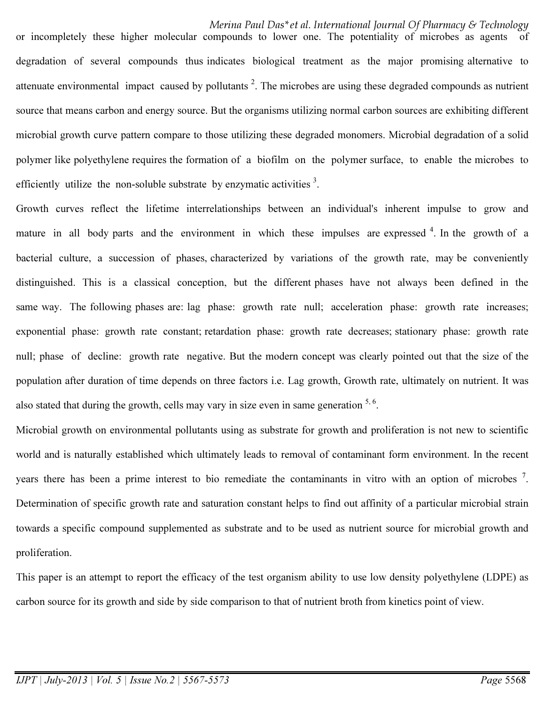Merina Paul Das\*et al. International Journal Of Pharmacy & Technology or incompletely these higher molecular compounds to lower one. The potentiality of microbes as agents degradation of several compounds thus indicates biological treatment as the major promising alternative to attenuate environmental impact caused by pollutants<sup>2</sup>. The microbes are using these degraded compounds as nutrient source that means carbon and energy source. But the organisms utilizing normal carbon sources are exhibiting different microbial growth curve pattern compare to those utilizing these degraded monomers. Microbial degradation of a solid polymer like polyethylene requires the formation of a biofilm on the polymer surface, to enable the microbes to efficiently utilize the non-soluble substrate by enzymatic activities  $3$ .

Growth curves reflect the lifetime interrelationships between an individual's inherent impulse to grow and mature in all body parts and the environment in which these impulses are expressed <sup>4</sup>. In the growth of a bacterial culture, a succession of phases, characterized by variations of the growth rate, may be conveniently distinguished. This is a classical conception, but the different phases have not always been defined in the same way. The following phases are: lag phase: growth rate null; acceleration phase: growth rate increases; exponential phase: growth rate constant; retardation phase: growth rate decreases; stationary phase: growth rate null; phase of decline: growth rate negative. But the modern concept was clearly pointed out that the size of the population after duration of time depends on three factors i.e. Lag growth, Growth rate, ultimately on nutrient. It was also stated that during the growth, cells may vary in size even in same generation  $5, 6$ .

Microbial growth on environmental pollutants using as substrate for growth and proliferation is not new to scientific world and is naturally established which ultimately leads to removal of contaminant form environment. In the recent years there has been a prime interest to bio remediate the contaminants in vitro with an option of microbes  $^7$ . Determination of specific growth rate and saturation constant helps to find out affinity of a particular microbial strain towards a specific compound supplemented as substrate and to be used as nutrient source for microbial growth and proliferation.

This paper is an attempt to report the efficacy of the test organism ability to use low density polyethylene (LDPE) as carbon source for its growth and side by side comparison to that of nutrient broth from kinetics point of view.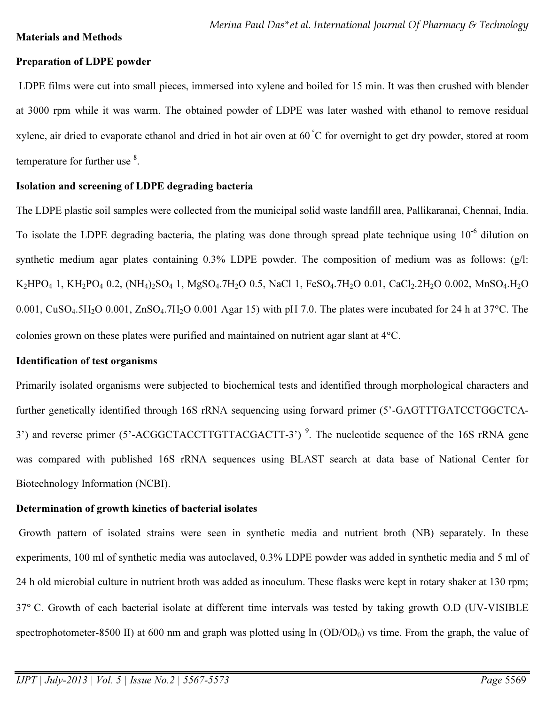### Materials and Methods

## Preparation of LDPE powder

LDPE films were cut into small pieces, immersed into xylene and boiled for 15 min. It was then crushed with blender at 3000 rpm while it was warm. The obtained powder of LDPE was later washed with ethanol to remove residual xylene, air dried to evaporate ethanol and dried in hot air oven at  $60\degree C$  for overnight to get dry powder, stored at room temperature for further use <sup>8</sup>.

## Isolation and screening of LDPE degrading bacteria

The LDPE plastic soil samples were collected from the municipal solid waste landfill area, Pallikaranai, Chennai, India. To isolate the LDPE degrading bacteria, the plating was done through spread plate technique using 10<sup>-6</sup> dilution on synthetic medium agar plates containing 0.3% LDPE powder. The composition of medium was as follows: (g/l:  $K_2HPO_4$  1,  $KH_2PO_4$  0.2,  $(NH_4)_2SO_4$  1,  $MgSO_4$ .7H<sub>2</sub>O 0.5, NaCl 1, FeSO<sub>4</sub>.7H<sub>2</sub>O 0.01, CaCl<sub>2</sub>.2H<sub>2</sub>O 0.002, MnSO<sub>4</sub>.H<sub>2</sub>O 0.001,  $CuSO<sub>4</sub>5H<sub>2</sub>O$  0.001,  $ZnSO<sub>4</sub>7H<sub>2</sub>O$  0.001 Agar 15) with pH 7.0. The plates were incubated for 24 h at 37°C. The colonies grown on these plates were purified and maintained on nutrient agar slant at 4°C.

## Identification of test organisms

Primarily isolated organisms were subjected to biochemical tests and identified through morphological characters and further genetically identified through 16S rRNA sequencing using forward primer (5'-GAGTTTGATCCTGGCTCA-3') and reverse primer (5'-ACGGCTACCTTGTTACGACTT-3')<sup>9</sup>. The nucleotide sequence of the 16S rRNA gene was compared with published 16S rRNA sequences using BLAST search at data base of National Center for Biotechnology Information (NCBI).

## Determination of growth kinetics of bacterial isolates

Growth pattern of isolated strains were seen in synthetic media and nutrient broth (NB) separately. In these experiments, 100 ml of synthetic media was autoclaved, 0.3% LDPE powder was added in synthetic media and 5 ml of 24 h old microbial culture in nutrient broth was added as inoculum. These flasks were kept in rotary shaker at 130 rpm; 37° C. Growth of each bacterial isolate at different time intervals was tested by taking growth O.D (UV-VISIBLE spectrophotometer-8500 II) at 600 nm and graph was plotted using  $\ln (OD/OD_0)$  vs time. From the graph, the value of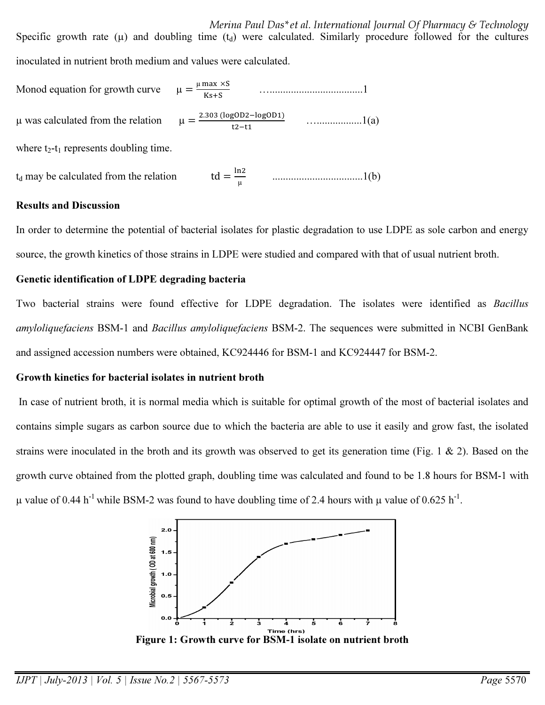Merina Paul Das\*et al. International Journal Of Pharmacy & Technology Specific growth rate ( $\mu$ ) and doubling time ( $t_d$ ) were calculated. Similarly procedure followed for the cultures inoculated in nutrient broth medium and values were calculated.

Monod equation for growth curve  $\upmu$  max  $\times$ S Ks+S …...................................1  $\mu$  was calculated from the relation 2.303 (logOD2-logOD1)  $t2-t1$  ….................1(a) where  $t_2-t_1$  represents doubling time.

#### $t_d$  may be calculated from the relation µ ..................................1(b)

## Results and Discussion

In order to determine the potential of bacterial isolates for plastic degradation to use LDPE as sole carbon and energy source, the growth kinetics of those strains in LDPE were studied and compared with that of usual nutrient broth.

### Genetic identification of LDPE degrading bacteria

Two bacterial strains were found effective for LDPE degradation. The isolates were identified as *Bacillus amyloliquefaciens* BSM-1 and *Bacillus amyloliquefaciens* BSM-2. The sequences were submitted in NCBI GenBank and assigned accession numbers were obtained, KC924446 for BSM-1 and KC924447 for BSM-2.

## Growth kinetics for bacterial isolates in nutrient broth

In case of nutrient broth, it is normal media which is suitable for optimal growth of the most of bacterial isolates and contains simple sugars as carbon source due to which the bacteria are able to use it easily and grow fast, the isolated strains were inoculated in the broth and its growth was observed to get its generation time (Fig. 1  $\&$  2). Based on the growth curve obtained from the plotted graph, doubling time was calculated and found to be 1.8 hours for BSM-1 with  $\mu$  value of 0.44 h<sup>-1</sup> while BSM-2 was found to have doubling time of 2.4 hours with  $\mu$  value of 0.625 h<sup>-1</sup>.



Figure 1: Growth curve for BSM-1 isolate on nutrient broth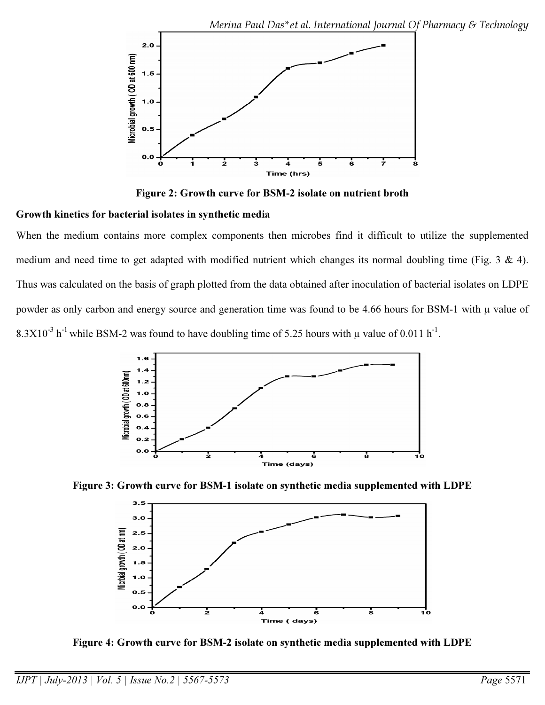

Figure 2: Growth curve for BSM-2 isolate on nutrient broth

# Growth kinetics for bacterial isolates in synthetic media

When the medium contains more complex components then microbes find it difficult to utilize the supplemented medium and need time to get adapted with modified nutrient which changes its normal doubling time (Fig. 3 & 4). Thus was calculated on the basis of graph plotted from the data obtained after inoculation of bacterial isolates on LDPE powder as only carbon and energy source and generation time was found to be 4.66 hours for BSM-1 with  $\mu$  value of  $8.3X10^{-3}$  h<sup>-1</sup> while BSM-2 was found to have doubling time of 5.25 hours with  $\mu$  value of 0.011 h<sup>-1</sup>.



Figure 3: Growth curve for BSM-1 isolate on synthetic media supplemented with LDPE



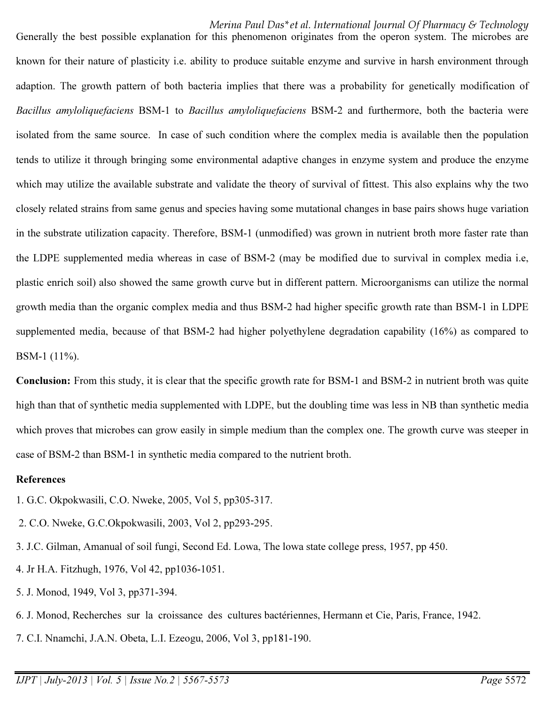Merina Paul Das\*et al. International Journal Of Pharmacy & Technology Generally the best possible explanation for this phenomenon originates from the operon system. The microbes are known for their nature of plasticity i.e. ability to produce suitable enzyme and survive in harsh environment through adaption. The growth pattern of both bacteria implies that there was a probability for genetically modification of *Bacillus amyloliquefaciens* BSM-1 to *Bacillus amyloliquefaciens* BSM-2 and furthermore, both the bacteria were isolated from the same source. In case of such condition where the complex media is available then the population tends to utilize it through bringing some environmental adaptive changes in enzyme system and produce the enzyme which may utilize the available substrate and validate the theory of survival of fittest. This also explains why the two closely related strains from same genus and species having some mutational changes in base pairs shows huge variation in the substrate utilization capacity. Therefore, BSM-1 (unmodified) was grown in nutrient broth more faster rate than the LDPE supplemented media whereas in case of BSM-2 (may be modified due to survival in complex media i.e, plastic enrich soil) also showed the same growth curve but in different pattern. Microorganisms can utilize the normal growth media than the organic complex media and thus BSM-2 had higher specific growth rate than BSM-1 in LDPE supplemented media, because of that BSM-2 had higher polyethylene degradation capability (16%) as compared to BSM-1 (11%).

Conclusion: From this study, it is clear that the specific growth rate for BSM-1 and BSM-2 in nutrient broth was quite high than that of synthetic media supplemented with LDPE, but the doubling time was less in NB than synthetic media which proves that microbes can grow easily in simple medium than the complex one. The growth curve was steeper in case of BSM-2 than BSM-1 in synthetic media compared to the nutrient broth.

### References

- 1. G.C. Okpokwasili, C.O. Nweke, 2005, Vol 5, pp305-317.
- 2. C.O. Nweke, G.C.Okpokwasili, 2003, Vol 2, pp293-295.
- 3. J.C. Gilman, Amanual of soil fungi, Second Ed. Lowa, The lowa state college press, 1957, pp 450.
- 4. Jr H.A. Fitzhugh, 1976, Vol 42, pp1036-1051.
- 5. J. Monod, 1949, Vol 3, pp371-394.
- 6. J. Monod, Recherches sur la croissance des cultures bactériennes, Hermann et Cie, Paris, France, 1942.
- 7. C.I. Nnamchi, J.A.N. Obeta, L.I. Ezeogu, 2006, Vol 3, pp181-190.